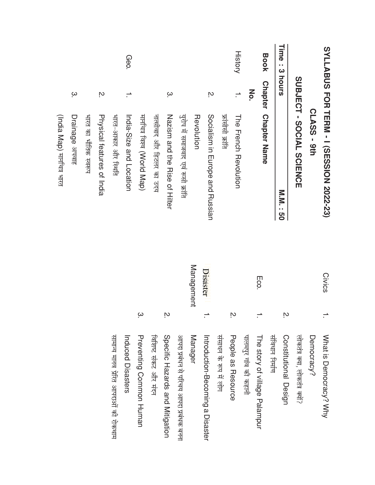| भारत का भौतिक स्वरूप | Ņ.<br>Physical features of India | भारत-आकार और स्थिति                   | Geo.<br>India-Size and Location | मार्नाचत्र विश्व (World Map)   | नालीवाद और हिटलर का उदय | $\omega$<br>Nazism and the Rise of Hilter | युरोप में समाजवाद एवं रूसी क्रांति      | Revolution | Ņ<br>Socialism in Europe and Russian | फ्रांसीसी क्रांति     | <b>History</b><br>$\overline{\phantom{0}}$<br>Home French Revolution | Μò.                   | <b>Book</b><br><b>Chapter</b><br><b>Chapter Name</b> |                 | Time<br>: 3 hours<br><b>N.N. : 50</b> | SUBJECT - SOCIAL SCIENCE       | CLASS - 9th | SYLLABUS FOR TERM - I (SESSION 2022-23) |  |
|----------------------|----------------------------------|---------------------------------------|---------------------------------|--------------------------------|-------------------------|-------------------------------------------|-----------------------------------------|------------|--------------------------------------|-----------------------|----------------------------------------------------------------------|-----------------------|------------------------------------------------------|-----------------|---------------------------------------|--------------------------------|-------------|-----------------------------------------|--|
|                      |                                  |                                       |                                 |                                |                         |                                           |                                         | Management | Disaster                             |                       |                                                                      |                       | Eco.                                                 |                 |                                       |                                |             | Civics                                  |  |
|                      |                                  |                                       |                                 | ω                              |                         | ΙŅ.                                       |                                         |            |                                      |                       | ŗО.                                                                  |                       |                                                      |                 | Ņ.                                    |                                |             |                                         |  |
|                      |                                  | सामान्य मानव प्रेरित आपदाओं की रोकथाम | Induced Disasters               | <b>Preventing Common Human</b> | विशिष्ट संकट और मंदन    | Specific Hazards and Mitigation           | आपदा प्रबंधन से परिचय आपदा प्रबंधक बनना | Manager    | Introduction-Becoming a Disaster     | संसाधन के रूप में लोग | People as Resource                                                   | पालमपुर गांव की कहानी | The story of village Palampur                        | संविधान निर्माण | Constitutional Design                 | लोकतंत्र क्या, लोकतंत्र क्यों? | Democracy?  | What is Democracy? Why                  |  |

(India Map) मार्नाचत्र भारत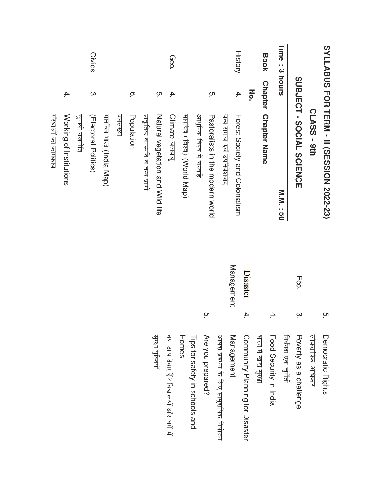|                |                | SYLLABUS FOR TERM - II (SESSION 2022-23) |                   | ო<br>.   |
|----------------|----------------|------------------------------------------|-------------------|----------|
|                |                | CLASS - 9th                              |                   |          |
|                |                | SUBJECT - SOCIAL SCIENCE                 | Eco.              | $\omega$ |
| Time<br><br>ယ  | hours          | <b>N.N. 190</b>                          |                   |          |
| <b>Book</b>    |                | <b>Chapter Chapter Name</b>              |                   | 4.       |
|                | Μo.            |                                          |                   |          |
| <b>History</b> | 4.             | Forest Society and Colonialism           | Disaster          | 4.       |
|                |                | वन्य समाज एवं उपनिवेशवाद                 | <b>Management</b> |          |
|                | ņ.             | Pastoralists in the modern xorld         |                   | C.       |
|                |                | आधुनिक विश्व में चरवाहे                  |                   |          |
|                |                | मार्नाच्च (विश्व) (World Map)            |                   |          |
| Geo.           | 4.             | <b>Climate derarg</b>                    |                   |          |
|                | ო.             | Natural vegetation and Wild life         |                   |          |
|                |                | प्राकृतिक वनस्पति व वन्य प्राणी          |                   |          |
|                | <u>ှ</u>       | Population                               |                   |          |
|                |                | जनसभा                                    |                   |          |
|                |                | मार्नाचत्र भारत (India Map)              |                   |          |
| Civics         | $\dot{\infty}$ | (Electoral Politics)                     |                   |          |
|                |                | चुनावी राजनीति                           |                   |          |
|                | 4.             | Working of Institutions                  |                   |          |
|                |                | संस्थाओं का कामकान                       |                   |          |

आपदा प्रबंधन के लिए सामुदायिक नियोजन

Management

Are you prepared?

Tips for safety in schools and

Community Planning for Disaster

भारत में खाद्य सुरक्षा

Food Security in India

Poverty as a challenge

लोकतांत्रिक अधिकार

Democratic Rights

निर्धनता एक चुनौती

सुरक्षा युक्तियाँ

क्या आप तैयार है? विद्यालयों और घरों में

Homes